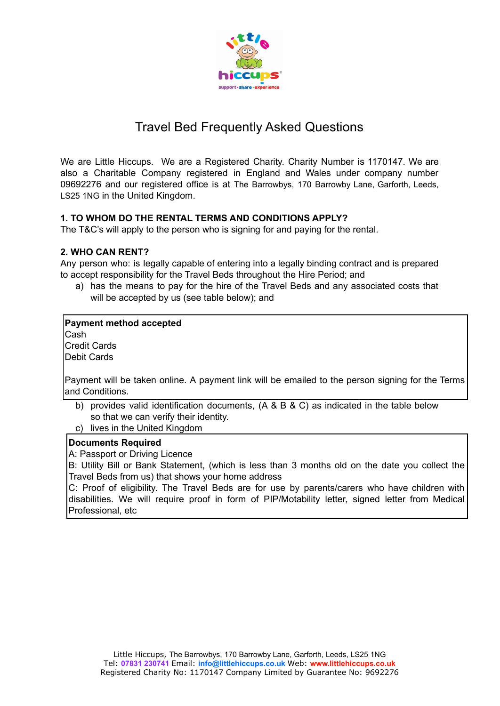

# Travel Bed Frequently Asked Questions

We are Little Hiccups. We are a Registered Charity. Charity Number is 1170147. We are also a Charitable Company registered in England and Wales under company number 09692276 and our registered office is at The Barrowbys, 170 Barrowby Lane, Garforth, Leeds, LS25 1NG in the United Kingdom.

# **1. TO WHOM DO THE RENTAL TERMS AND CONDITIONS APPLY?**

The T&C's will apply to the person who is signing for and paying for the rental.

# **2. WHO CAN RENT?**

Any person who: is legally capable of entering into a legally binding contract and is prepared to accept responsibility for the Travel Beds throughout the Hire Period; and

a) has the means to pay for the hire of the Travel Beds and any associated costs that will be accepted by us (see table below); and

# **Payment method accepted**

Cash Credit Cards Debit Cards

Payment will be taken online. A payment link will be emailed to the person signing for the Terms and Conditions.

- b) provides valid identification documents, (A & B & C) as indicated in the table below so that we can verify their identity.
- c) lives in the United Kingdom

# **Documents Required**

A: Passport or Driving Licence

B: Utility Bill or Bank Statement, (which is less than 3 months old on the date you collect the Travel Beds from us) that shows your home address

C: Proof of eligibility. The Travel Beds are for use by parents/carers who have children with disabilities. We will require proof in form of PIP/Motability letter, signed letter from Medical Professional, etc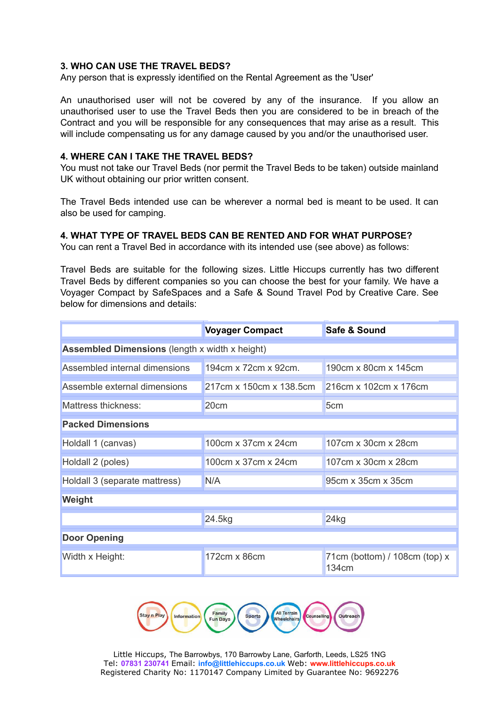#### **3. WHO CAN USE THE TRAVEL BEDS?**

Any person that is expressly identified on the Rental Agreement as the 'User'

An unauthorised user will not be covered by any of the insurance. If you allow an unauthorised user to use the Travel Beds then you are considered to be in breach of the Contract and you will be responsible for any consequences that may arise as a result. This will include compensating us for any damage caused by you and/or the unauthorised user.

## **4. WHERE CAN I TAKE THE TRAVEL BEDS?**

You must not take our Travel Beds (nor permit the Travel Beds to be taken) outside mainland UK without obtaining our prior written consent.

The Travel Beds intended use can be wherever a normal bed is meant to be used. It can also be used for camping.

#### **4. WHAT TYPE OF TRAVEL BEDS CAN BE RENTED AND FOR WHAT PURPOSE?**

You can rent a Travel Bed in accordance with its intended use (see above) as follows:

Travel Beds are suitable for the following sizes. Little Hiccups currently has two different Travel Beds by different companies so you can choose the best for your family. We have a Voyager Compact by SafeSpaces and a Safe & Sound Travel Pod by Creative Care. See below for dimensions and details:

|                                                       | <b>Voyager Compact</b>  | Safe & Sound                             |  |
|-------------------------------------------------------|-------------------------|------------------------------------------|--|
| <b>Assembled Dimensions</b> (length x width x height) |                         |                                          |  |
| Assembled internal dimensions                         | 194cm x 72cm x 92cm.    | 190cm x 80cm x 145cm                     |  |
| Assemble external dimensions                          | 217cm x 150cm x 138.5cm | 216cm x 102cm x 176cm                    |  |
| Mattress thickness:                                   | 20cm                    | 5 <sub>cm</sub>                          |  |
| <b>Packed Dimensions</b>                              |                         |                                          |  |
| Holdall 1 (canvas)                                    | 100cm x 37cm x 24cm     | 107cm x 30cm x 28cm                      |  |
| Holdall 2 (poles)                                     | 100cm x 37cm x 24cm     | 107cm x 30cm x 28cm                      |  |
| Holdall 3 (separate mattress)                         | N/A                     | 95cm x 35cm x 35cm                       |  |
| Weight                                                |                         |                                          |  |
|                                                       | 24.5kg                  | 24kg                                     |  |
| <b>Door Opening</b>                                   |                         |                                          |  |
| Width x Height:                                       | 172cm x 86cm            | $71cm$ (bottom) / 108cm (top) x<br>134cm |  |



Little Hiccups, The Barrowbys, 170 Barrowby Lane, Garforth, Leeds, LS25 1NG Tel: **07831 230741** Email: **info@littlehiccups.co.uk** Web: **www.littlehiccups.co.uk** Registered Charity No: 1170147 Company Limited by Guarantee No: 9692276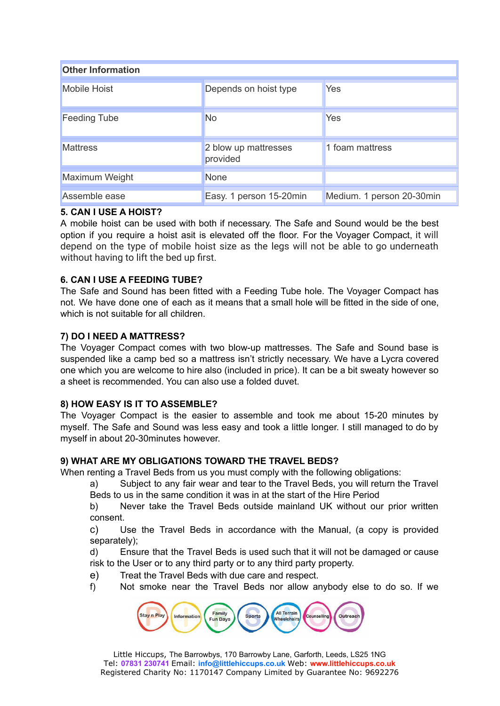| <b>Other Information</b> |                                  |                           |  |
|--------------------------|----------------------------------|---------------------------|--|
| <b>Mobile Hoist</b>      | Depends on hoist type            | Yes                       |  |
| <b>Feeding Tube</b>      | <b>No</b>                        | Yes                       |  |
| <b>Mattress</b>          | 2 blow up mattresses<br>provided | 1 foam mattress           |  |
| Maximum Weight           | <b>None</b>                      |                           |  |
| Assemble ease            | Easy. 1 person 15-20min          | Medium. 1 person 20-30min |  |

# **5. CAN I USE A HOIST?**

A mobile hoist can be used with both if necessary. The Safe and Sound would be the best option if you require a hoist asit is elevated off the floor. For the Voyager Compact, it will depend on the type of mobile hoist size as the legs will not be able to go underneath without having to lift the bed up first.

# **6. CAN I USE A FEEDING TUBE?**

The Safe and Sound has been fitted with a Feeding Tube hole. The Voyager Compact has not. We have done one of each as it means that a small hole will be fitted in the side of one, which is not suitable for all children.

# **7) DO I NEED A MATTRESS?**

The Voyager Compact comes with two blow-up mattresses. The Safe and Sound base is suspended like a camp bed so a mattress isn't strictly necessary. We have a Lycra covered one which you are welcome to hire also (included in price). It can be a bit sweaty however so a sheet is recommended. You can also use a folded duvet.

# **8) HOW EASY IS IT TO ASSEMBLE?**

The Voyager Compact is the easier to assemble and took me about 15-20 minutes by myself. The Safe and Sound was less easy and took a little longer. I still managed to do by myself in about 20-30minutes however.

# **9) WHAT ARE MY OBLIGATIONS TOWARD THE TRAVEL BEDS?**

When renting a Travel Beds from us you must comply with the following obligations:

a) Subject to any fair wear and tear to the Travel Beds, you will return the Travel Beds to us in the same condition it was in at the start of the Hire Period

b) Never take the Travel Beds outside mainland UK without our prior written consent.

c) Use the Travel Beds in accordance with the Manual, (a copy is provided separately);

d) Ensure that the Travel Beds is used such that it will not be damaged or cause risk to the User or to any third party or to any third party property.

- e) Treat the Travel Beds with due care and respect.
- f) Not smoke near the Travel Beds nor allow anybody else to do so. If we

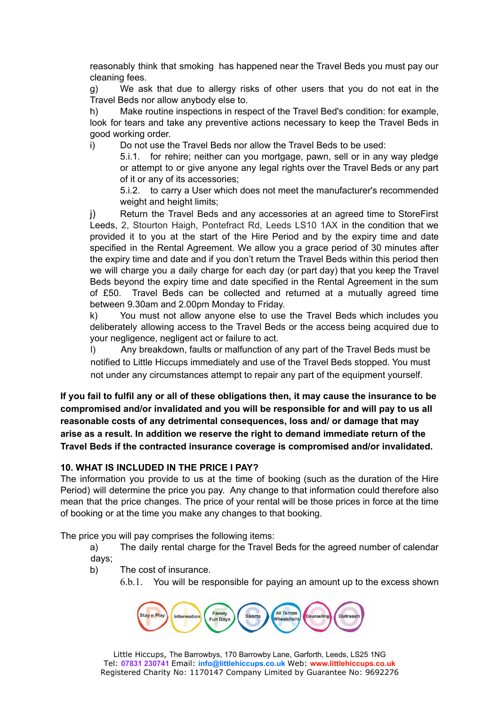reasonably think that smoking has happened near the Travel Beds you must pay our cleaning fees.

g) We ask that due to allergy risks of other users that you do not eat in the Travel Beds nor allow anybody else to.

h) Make routine inspections in respect of the Travel Bed's condition: for example, look for tears and take any preventive actions necessary to keep the Travel Beds in good working order.

i) Do not use the Travel Beds nor allow the Travel Beds to be used:

5.i.1. for rehire; neither can you mortgage, pawn, sell or in any way pledge or attempt to or give anyone any legal rights over the Travel Beds or any part of it or any of its accessories;

5.i.2. to carry a User which does not meet the manufacturer's recommended weight and height limits;

j) Return the Travel Beds and any accessories at an agreed time to StoreFirst Leeds, 2, Stourton Haigh, Pontefract Rd, Leeds LS10 1AX in the condition that we provided it to you at the start of the Hire Period and by the expiry time and date specified in the Rental Agreement. We allow you a grace period of 30 minutes after the expiry time and date and if you don't return the Travel Beds within this period then we will charge you a daily charge for each day (or part day) that you keep the Travel Beds beyond the expiry time and date specified in the Rental Agreement in the sum of £50. Travel Beds can be collected and returned at a mutually agreed time between 9.30am and 2.00pm Monday to Friday.

k) You must not allow anyone else to use the Travel Beds which includes you deliberately allowing access to the Travel Beds or the access being acquired due to your negligence, negligent act or failure to act.

l) Any breakdown, faults or malfunction of any part of the Travel Beds must be notified to Little Hiccups immediately and use of the Travel Beds stopped. You must not under any circumstances attempt to repair any part of the equipment yourself.

If you fail to fulfil any or all of these obligations then, it may cause the insurance to be **compromised and/or invalidated and you will be responsible for and will pay to us all reasonable costs of any detrimental consequences, loss and/ or damage that may arise as a result. In addition we reserve the right to demand immediate return of the Travel Beds if the contracted insurance coverage is compromised and/or invalidated.**

# **10. WHAT IS INCLUDED IN THE PRICE I PAY?**

The information you provide to us at the time of booking (such as the duration of the Hire Period) will determine the price you pay. Any change to that information could therefore also mean that the price changes. The price of your rental will be those prices in force at the time of booking or at the time you make any changes to that booking.

The price you will pay comprises the following items:

- a) The daily rental charge for the Travel Beds for the agreed number of calendar days;
- b) The cost of insurance.
	- 6.b.1. You will be responsible for paying an amount up to the excess shown

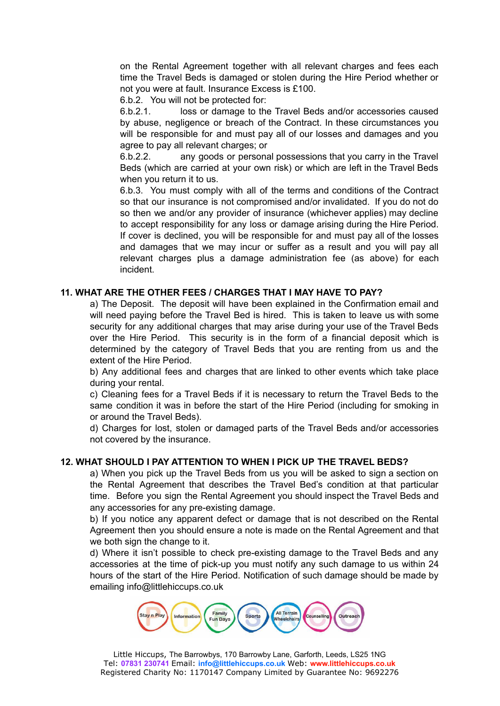on the Rental Agreement together with all relevant charges and fees each time the Travel Beds is damaged or stolen during the Hire Period whether or not you were at fault. Insurance Excess is £100.

6.b.2. You will not be protected for:

6.b.2.1. loss or damage to the Travel Beds and/or accessories caused by abuse, negligence or breach of the Contract. In these circumstances you will be responsible for and must pay all of our losses and damages and you agree to pay all relevant charges; or

6.b.2.2. any goods or personal possessions that you carry in the Travel Beds (which are carried at your own risk) or which are left in the Travel Beds when you return it to us.

6.b.3. You must comply with all of the terms and conditions of the Contract so that our insurance is not compromised and/or invalidated. If you do not do so then we and/or any provider of insurance (whichever applies) may decline to accept responsibility for any loss or damage arising during the Hire Period. If cover is declined, you will be responsible for and must pay all of the losses and damages that we may incur or suffer as a result and you will pay all relevant charges plus a damage administration fee (as above) for each incident.

# **11. WHAT ARE THE OTHER FEES / CHARGES THAT I MAY HAVE TO PAY?**

a) The Deposit. The deposit will have been explained in the Confirmation email and will need paying before the Travel Bed is hired. This is taken to leave us with some security for any additional charges that may arise during your use of the Travel Beds over the Hire Period. This security is in the form of a financial deposit which is determined by the category of Travel Beds that you are renting from us and the extent of the Hire Period.

b) Any additional fees and charges that are linked to other events which take place during your rental.

c) Cleaning fees for a Travel Beds if it is necessary to return the Travel Beds to the same condition it was in before the start of the Hire Period (including for smoking in or around the Travel Beds).

d) Charges for lost, stolen or damaged parts of the Travel Beds and/or accessories not covered by the insurance.

#### **12. WHAT SHOULD I PAY ATTENTION TO WHEN I PICK UP THE TRAVEL BEDS?**

a) When you pick up the Travel Beds from us you will be asked to sign a section on the Rental Agreement that describes the Travel Bed's condition at that particular time. Before you sign the Rental Agreement you should inspect the Travel Beds and any accessories for any pre-existing damage.

b) If you notice any apparent defect or damage that is not described on the Rental Agreement then you should ensure a note is made on the Rental Agreement and that we both sign the change to it.

d) Where it isn't possible to check pre-existing damage to the Travel Beds and any accessories at the time of pick-up you must notify any such damage to us within 24 hours of the start of the Hire Period. Notification of such damage should be made by emailing info@littlehiccups.co.uk

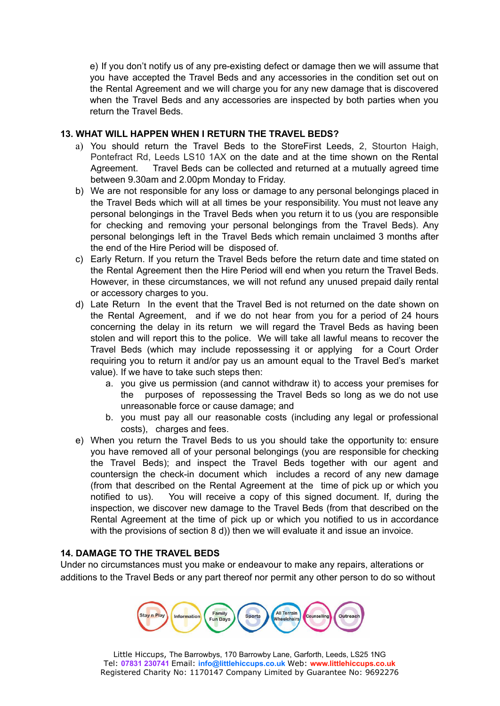e) If you don't notify us of any pre-existing defect or damage then we will assume that you have accepted the Travel Beds and any accessories in the condition set out on the Rental Agreement and we will charge you for any new damage that is discovered when the Travel Beds and any accessories are inspected by both parties when you return the Travel Beds.

# **13. WHAT WILL HAPPEN WHEN I RETURN THE TRAVEL BEDS?**

- a) You should return the Travel Beds to the StoreFirst Leeds, 2, Stourton Haigh, Pontefract Rd, Leeds LS10 1AX on the date and at the time shown on the Rental Agreement. Travel Beds can be collected and returned at a mutually agreed time between 9.30am and 2.00pm Monday to Friday.
- b) We are not responsible for any loss or damage to any personal belongings placed in the Travel Beds which will at all times be your responsibility. You must not leave any personal belongings in the Travel Beds when you return it to us (you are responsible for checking and removing your personal belongings from the Travel Beds). Any personal belongings left in the Travel Beds which remain unclaimed 3 months after the end of the Hire Period will be disposed of.
- c) Early Return. If you return the Travel Beds before the return date and time stated on the Rental Agreement then the Hire Period will end when you return the Travel Beds. However, in these circumstances, we will not refund any unused prepaid daily rental or accessory charges to you.
- d) Late Return In the event that the Travel Bed is not returned on the date shown on the Rental Agreement, and if we do not hear from you for a period of 24 hours concerning the delay in its return we will regard the Travel Beds as having been stolen and will report this to the police. We will take all lawful means to recover the Travel Beds (which may include repossessing it or applying for a Court Order requiring you to return it and/or pay us an amount equal to the Travel Bed's market value). If we have to take such steps then:
	- a. you give us permission (and cannot withdraw it) to access your premises for the purposes of repossessing the Travel Beds so long as we do not use unreasonable force or cause damage; and
	- b. you must pay all our reasonable costs (including any legal or professional costs), charges and fees.
- e) When you return the Travel Beds to us you should take the opportunity to: ensure you have removed all of your personal belongings (you are responsible for checking the Travel Beds); and inspect the Travel Beds together with our agent and countersign the check-in document which includes a record of any new damage (from that described on the Rental Agreement at the time of pick up or which you notified to us). You will receive a copy of this signed document. If, during the inspection, we discover new damage to the Travel Beds (from that described on the Rental Agreement at the time of pick up or which you notified to us in accordance with the provisions of section 8 d)) then we will evaluate it and issue an invoice.

# **14. DAMAGE TO THE TRAVEL BEDS**

Under no circumstances must you make or endeavour to make any repairs, alterations or additions to the Travel Beds or any part thereof nor permit any other person to do so without



Little Hiccups, The Barrowbys, 170 Barrowby Lane, Garforth, Leeds, LS25 1NG Tel: **07831 230741** Email: **info@littlehiccups.co.uk** Web: **www.littlehiccups.co.uk** Registered Charity No: 1170147 Company Limited by Guarantee No: 9692276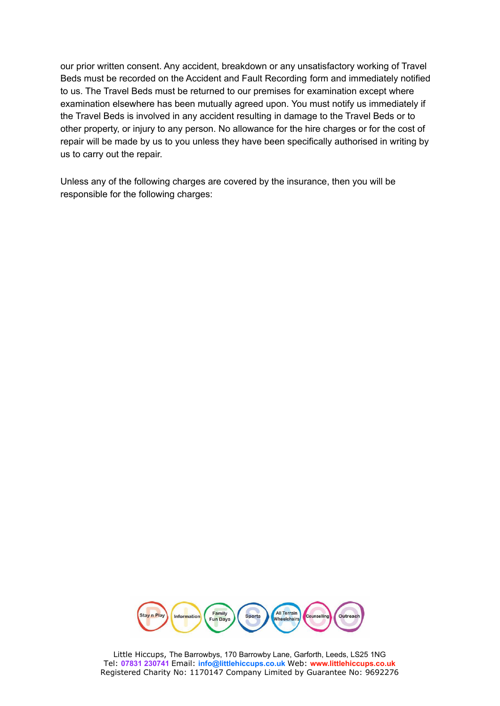our prior written consent. Any accident, breakdown or any unsatisfactory working of Travel Beds must be recorded on the Accident and Fault Recording form and immediately notified to us. The Travel Beds must be returned to our premises for examination except where examination elsewhere has been mutually agreed upon. You must notify us immediately if the Travel Beds is involved in any accident resulting in damage to the Travel Beds or to other property, or injury to any person. No allowance for the hire charges or for the cost of repair will be made by us to you unless they have been specifically authorised in writing by us to carry out the repair.

Unless any of the following charges are covered by the insurance, then you will be responsible for the following charges:



Little Hiccups, The Barrowbys, 170 Barrowby Lane, Garforth, Leeds, LS25 1NG Tel: **07831 230741** Email: **info@littlehiccups.co.uk** Web: **www.littlehiccups.co.uk** Registered Charity No: 1170147 Company Limited by Guarantee No: 9692276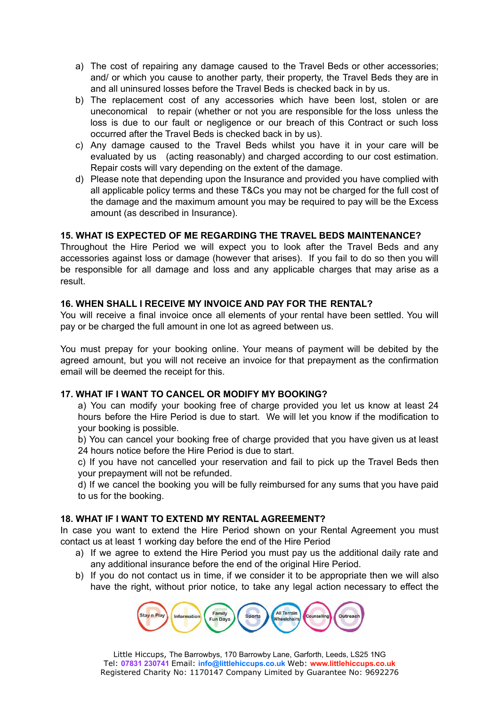- a) The cost of repairing any damage caused to the Travel Beds or other accessories; and/ or which you cause to another party, their property, the Travel Beds they are in and all uninsured losses before the Travel Beds is checked back in by us.
- b) The replacement cost of any accessories which have been lost, stolen or are uneconomical to repair (whether or not you are responsible for the loss unless the loss is due to our fault or negligence or our breach of this Contract or such loss occurred after the Travel Beds is checked back in by us).
- c) Any damage caused to the Travel Beds whilst you have it in your care will be evaluated by us (acting reasonably) and charged according to our cost estimation. Repair costs will vary depending on the extent of the damage.
- d) Please note that depending upon the Insurance and provided you have complied with all applicable policy terms and these T&Cs you may not be charged for the full cost of the damage and the maximum amount you may be required to pay will be the Excess amount (as described in Insurance).

# **15. WHAT IS EXPECTED OF ME REGARDING THE TRAVEL BEDS MAINTENANCE?**

Throughout the Hire Period we will expect you to look after the Travel Beds and any accessories against loss or damage (however that arises). If you fail to do so then you will be responsible for all damage and loss and any applicable charges that may arise as a result.

# **16. WHEN SHALL I RECEIVE MY INVOICE AND PAY FOR THE RENTAL?**

You will receive a final invoice once all elements of your rental have been settled. You will pay or be charged the full amount in one lot as agreed between us.

You must prepay for your booking online. Your means of payment will be debited by the agreed amount, but you will not receive an invoice for that prepayment as the confirmation email will be deemed the receipt for this.

# **17. WHAT IF I WANT TO CANCEL OR MODIFY MY BOOKING?**

a) You can modify your booking free of charge provided you let us know at least 24 hours before the Hire Period is due to start. We will let you know if the modification to your booking is possible.

b) You can cancel your booking free of charge provided that you have given us at least 24 hours notice before the Hire Period is due to start.

c) If you have not cancelled your reservation and fail to pick up the Travel Beds then your prepayment will not be refunded.

d) If we cancel the booking you will be fully reimbursed for any sums that you have paid to us for the booking.

# **18. WHAT IF I WANT TO EXTEND MY RENTAL AGREEMENT?**

In case you want to extend the Hire Period shown on your Rental Agreement you must contact us at least 1 working day before the end of the Hire Period

- a) If we agree to extend the Hire Period you must pay us the additional daily rate and any additional insurance before the end of the original Hire Period.
- b) If you do not contact us in time, if we consider it to be appropriate then we will also have the right, without prior notice, to take any legal action necessary to effect the